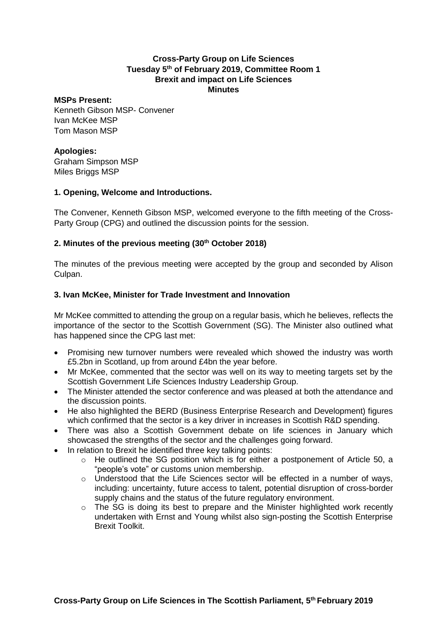### **Cross-Party Group on Life Sciences Tuesday 5 th of February 2019, Committee Room 1 Brexit and impact on Life Sciences Minutes**

**MSPs Present:** 

Kenneth Gibson MSP- Convener Ivan McKee MSP Tom Mason MSP

## **Apologies:**

Graham Simpson MSP Miles Briggs MSP

## **1. Opening, Welcome and Introductions.**

The Convener, Kenneth Gibson MSP, welcomed everyone to the fifth meeting of the Cross-Party Group (CPG) and outlined the discussion points for the session.

## **2. Minutes of the previous meeting (30th October 2018)**

The minutes of the previous meeting were accepted by the group and seconded by Alison Culpan.

## **3. Ivan McKee, Minister for Trade Investment and Innovation**

Mr McKee committed to attending the group on a regular basis, which he believes, reflects the importance of the sector to the Scottish Government (SG). The Minister also outlined what has happened since the CPG last met:

- Promising new turnover numbers were revealed which showed the industry was worth £5.2bn in Scotland, up from around £4bn the year before.
- Mr McKee, commented that the sector was well on its way to meeting targets set by the Scottish Government Life Sciences Industry Leadership Group.
- The Minister attended the sector conference and was pleased at both the attendance and the discussion points.
- He also highlighted the BERD (Business Enterprise Research and Development) figures which confirmed that the sector is a key driver in increases in Scottish R&D spending.
- There was also a Scottish Government debate on life sciences in January which showcased the strengths of the sector and the challenges going forward.
- In relation to Brexit he identified three key talking points:
	- $\circ$  He outlined the SG position which is for either a postponement of Article 50, a "people's vote" or customs union membership.
	- $\circ$  Understood that the Life Sciences sector will be effected in a number of ways, including: uncertainty, future access to talent, potential disruption of cross-border supply chains and the status of the future regulatory environment.
	- $\circ$  The SG is doing its best to prepare and the Minister highlighted work recently undertaken with Ernst and Young whilst also sign-posting the Scottish Enterprise Brexit Toolkit.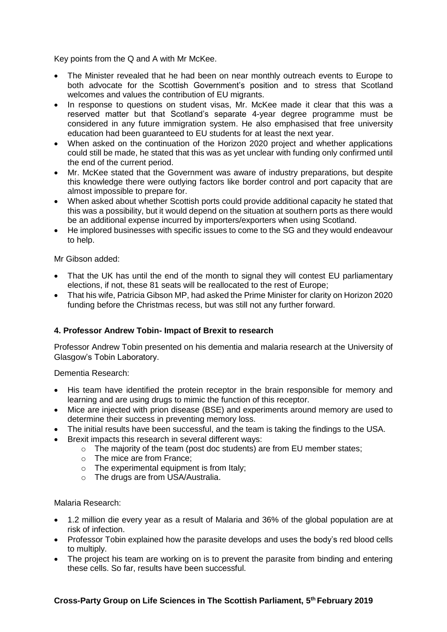Key points from the Q and A with Mr McKee.

- The Minister revealed that he had been on near monthly outreach events to Europe to both advocate for the Scottish Government's position and to stress that Scotland welcomes and values the contribution of EU migrants.
- In response to questions on student visas, Mr. McKee made it clear that this was a reserved matter but that Scotland's separate 4-year degree programme must be considered in any future immigration system. He also emphasised that free university education had been guaranteed to EU students for at least the next year.
- When asked on the continuation of the Horizon 2020 project and whether applications could still be made, he stated that this was as yet unclear with funding only confirmed until the end of the current period.
- Mr. McKee stated that the Government was aware of industry preparations, but despite this knowledge there were outlying factors like border control and port capacity that are almost impossible to prepare for.
- When asked about whether Scottish ports could provide additional capacity he stated that this was a possibility, but it would depend on the situation at southern ports as there would be an additional expense incurred by importers/exporters when using Scotland.
- He implored businesses with specific issues to come to the SG and they would endeavour to help.

### Mr Gibson added:

- That the UK has until the end of the month to signal they will contest EU parliamentary elections, if not, these 81 seats will be reallocated to the rest of Europe;
- That his wife, Patricia Gibson MP, had asked the Prime Minister for clarity on Horizon 2020 funding before the Christmas recess, but was still not any further forward.

## **4. Professor Andrew Tobin- Impact of Brexit to research**

Professor Andrew Tobin presented on his dementia and malaria research at the University of Glasgow's Tobin Laboratory.

Dementia Research:

- His team have identified the protein receptor in the brain responsible for memory and learning and are using drugs to mimic the function of this receptor.
- Mice are injected with prion disease (BSE) and experiments around memory are used to determine their success in preventing memory loss.
- The initial results have been successful, and the team is taking the findings to the USA.
- Brexit impacts this research in several different ways:
	- $\circ$  The majority of the team (post doc students) are from EU member states;
	- o The mice are from France;
	- $\circ$  The experimental equipment is from Italy;
	- o The drugs are from USA/Australia.

#### Malaria Research:

- 1.2 million die every year as a result of Malaria and 36% of the global population are at risk of infection.
- Professor Tobin explained how the parasite develops and uses the body's red blood cells to multiply.
- The project his team are working on is to prevent the parasite from binding and entering these cells. So far, results have been successful.

## **Cross-Party Group on Life Sciences in The Scottish Parliament, 5th February 2019**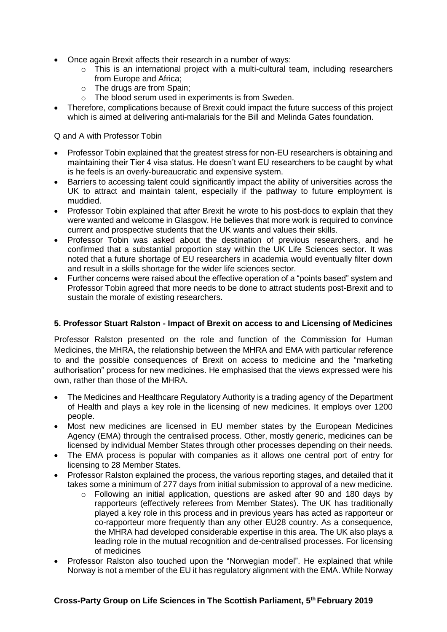- Once again Brexit affects their research in a number of ways:
	- $\circ$  This is an international project with a multi-cultural team, including researchers from Europe and Africa;
	- o The drugs are from Spain;
	- o The blood serum used in experiments is from Sweden.
- Therefore, complications because of Brexit could impact the future success of this project which is aimed at delivering anti-malarials for the Bill and Melinda Gates foundation.

Q and A with Professor Tobin

- Professor Tobin explained that the greatest stress for non-EU researchers is obtaining and maintaining their Tier 4 visa status. He doesn't want EU researchers to be caught by what is he feels is an overly-bureaucratic and expensive system.
- Barriers to accessing talent could significantly impact the ability of universities across the UK to attract and maintain talent, especially if the pathway to future employment is muddied.
- Professor Tobin explained that after Brexit he wrote to his post-docs to explain that they were wanted and welcome in Glasgow. He believes that more work is required to convince current and prospective students that the UK wants and values their skills.
- Professor Tobin was asked about the destination of previous researchers, and he confirmed that a substantial proportion stay within the UK Life Sciences sector. It was noted that a future shortage of EU researchers in academia would eventually filter down and result in a skills shortage for the wider life sciences sector.
- Further concerns were raised about the effective operation of a "points based" system and Professor Tobin agreed that more needs to be done to attract students post-Brexit and to sustain the morale of existing researchers.

## **5. Professor Stuart Ralston - Impact of Brexit on access to and Licensing of Medicines**

Professor Ralston presented on the role and function of the Commission for Human Medicines, the MHRA, the relationship between the MHRA and EMA with particular reference to and the possible consequences of Brexit on access to medicine and the "marketing authorisation" process for new medicines. He emphasised that the views expressed were his own, rather than those of the MHRA.

- The Medicines and Healthcare Regulatory Authority is a trading agency of the Department of Health and plays a key role in the licensing of new medicines. It employs over 1200 people.
- Most new medicines are licensed in EU member states by the European Medicines Agency (EMA) through the centralised process. Other, mostly generic, medicines can be licensed by individual Member States through other processes depending on their needs.
- The EMA process is popular with companies as it allows one central port of entry for licensing to 28 Member States.
- Professor Ralston explained the process, the various reporting stages, and detailed that it takes some a minimum of 277 days from initial submission to approval of a new medicine.
	- o Following an initial application, questions are asked after 90 and 180 days by rapporteurs (effectively referees from Member States). The UK has traditionally played a key role in this process and in previous years has acted as rapporteur or co-rapporteur more frequently than any other EU28 country. As a consequence, the MHRA had developed considerable expertise in this area. The UK also plays a leading role in the mutual recognition and de-centralised processes. For licensing of medicines
- Professor Ralston also touched upon the "Norwegian model". He explained that while Norway is not a member of the EU it has regulatory alignment with the EMA. While Norway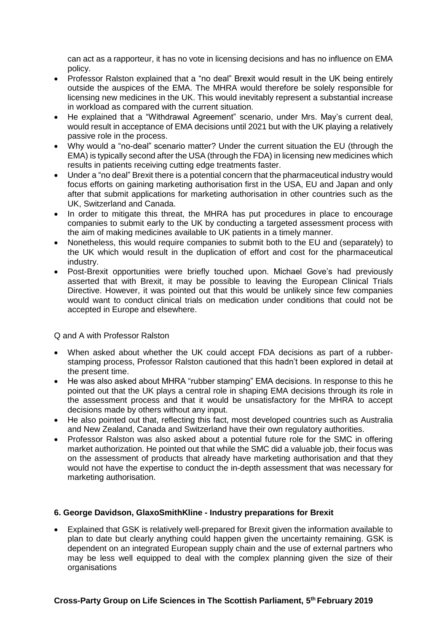can act as a rapporteur, it has no vote in licensing decisions and has no influence on EMA policy.

- Professor Ralston explained that a "no deal" Brexit would result in the UK being entirely outside the auspices of the EMA. The MHRA would therefore be solely responsible for licensing new medicines in the UK. This would inevitably represent a substantial increase in workload as compared with the current situation.
- He explained that a "Withdrawal Agreement" scenario, under Mrs. May's current deal, would result in acceptance of EMA decisions until 2021 but with the UK playing a relatively passive role in the process.
- Why would a "no-deal" scenario matter? Under the current situation the EU (through the EMA) is typically second after the USA (through the FDA) in licensing new medicines which results in patients receiving cutting edge treatments faster.
- Under a "no deal" Brexit there is a potential concern that the pharmaceutical industry would focus efforts on gaining marketing authorisation first in the USA, EU and Japan and only after that submit applications for marketing authorisation in other countries such as the UK, Switzerland and Canada.
- In order to mitigate this threat, the MHRA has put procedures in place to encourage companies to submit early to the UK by conducting a targeted assessment process with the aim of making medicines available to UK patients in a timely manner.
- Nonetheless, this would require companies to submit both to the EU and (separately) to the UK which would result in the duplication of effort and cost for the pharmaceutical industry.
- Post-Brexit opportunities were briefly touched upon. Michael Gove's had previously asserted that with Brexit, it may be possible to leaving the European Clinical Trials Directive. However, it was pointed out that this would be unlikely since few companies would want to conduct clinical trials on medication under conditions that could not be accepted in Europe and elsewhere.

Q and A with Professor Ralston

- When asked about whether the UK could accept FDA decisions as part of a rubberstamping process, Professor Ralston cautioned that this hadn't been explored in detail at the present time.
- He was also asked about MHRA "rubber stamping" EMA decisions. In response to this he pointed out that the UK plays a central role in shaping EMA decisions through its role in the assessment process and that it would be unsatisfactory for the MHRA to accept decisions made by others without any input.
- He also pointed out that, reflecting this fact, most developed countries such as Australia and New Zealand, Canada and Switzerland have their own regulatory authorities.
- Professor Ralston was also asked about a potential future role for the SMC in offering market authorization. He pointed out that while the SMC did a valuable job, their focus was on the assessment of products that already have marketing authorisation and that they would not have the expertise to conduct the in-depth assessment that was necessary for marketing authorisation.

# **6. George Davidson, GlaxoSmithKline - Industry preparations for Brexit**

• Explained that GSK is relatively well-prepared for Brexit given the information available to plan to date but clearly anything could happen given the uncertainty remaining. GSK is dependent on an integrated European supply chain and the use of external partners who may be less well equipped to deal with the complex planning given the size of their organisations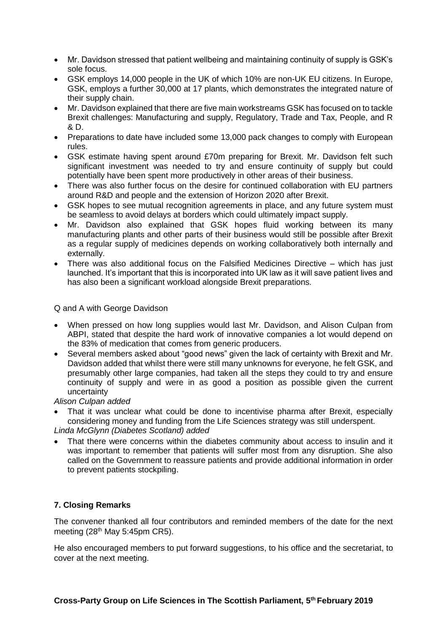- Mr. Davidson stressed that patient wellbeing and maintaining continuity of supply is GSK's sole focus.
- GSK employs 14,000 people in the UK of which 10% are non-UK EU citizens. In Europe, GSK, employs a further 30,000 at 17 plants, which demonstrates the integrated nature of their supply chain.
- Mr. Davidson explained that there are five main workstreams GSK has focused on to tackle Brexit challenges: Manufacturing and supply, Regulatory, Trade and Tax, People, and R & D.
- Preparations to date have included some 13,000 pack changes to comply with European rules.
- GSK estimate having spent around £70m preparing for Brexit. Mr. Davidson felt such significant investment was needed to try and ensure continuity of supply but could potentially have been spent more productively in other areas of their business.
- There was also further focus on the desire for continued collaboration with EU partners around R&D and people and the extension of Horizon 2020 after Brexit.
- GSK hopes to see mutual recognition agreements in place, and any future system must be seamless to avoid delays at borders which could ultimately impact supply.
- Mr. Davidson also explained that GSK hopes fluid working between its many manufacturing plants and other parts of their business would still be possible after Brexit as a regular supply of medicines depends on working collaboratively both internally and externally.
- There was also additional focus on the Falsified Medicines Directive which has just launched. It's important that this is incorporated into UK law as it will save patient lives and has also been a significant workload alongside Brexit preparations.

Q and A with George Davidson

- When pressed on how long supplies would last Mr. Davidson, and Alison Culpan from ABPI, stated that despite the hard work of innovative companies a lot would depend on the 83% of medication that comes from generic producers.
- Several members asked about "good news" given the lack of certainty with Brexit and Mr. Davidson added that whilst there were still many unknowns for everyone, he felt GSK, and presumably other large companies, had taken all the steps they could to try and ensure continuity of supply and were in as good a position as possible given the current uncertainty

*Alison Culpan added*

That it was unclear what could be done to incentivise pharma after Brexit, especially considering money and funding from the Life Sciences strategy was still underspent.

*Linda McGlynn (Diabetes Scotland) added*

• That there were concerns within the diabetes community about access to insulin and it was important to remember that patients will suffer most from any disruption. She also called on the Government to reassure patients and provide additional information in order to prevent patients stockpiling.

# **7. Closing Remarks**

The convener thanked all four contributors and reminded members of the date for the next meeting (28<sup>th</sup> May 5:45pm CR5).

He also encouraged members to put forward suggestions, to his office and the secretariat, to cover at the next meeting.